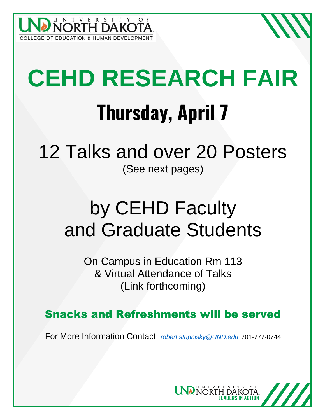

# **CEHD RESEARCH FAIR Thursday, April 7**

### 12 Talks and over 20 Posters (See next pages)

## by CEHD Faculty and Graduate Students

On Campus in Education Rm 113 & Virtual Attendance of Talks (Link forthcoming)

Snacks and Refreshments will be served

For More Information Contact: *[robert.stupnisky@UND.edu](mailto:robert.stupnisky@und.edu?subject=Research%20Fair)* 701-777-0744

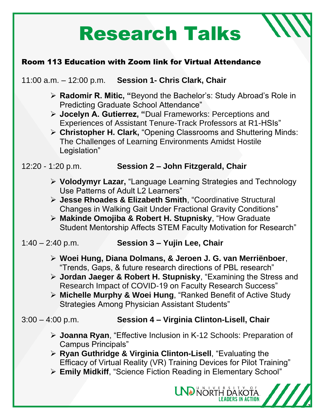# Research Talks

#### Room 113 Education with Zoom link for Virtual Attendance

11:00 a.m. – 12:00 p.m. **Session 1- Chris Clark, Chair** 

- ➢ **Radomir R. Mitic, "**Beyond the Bachelor's: Study Abroad's Role in Predicting Graduate School Attendance"
- ➢ **Jocelyn A. Gutierrez, "**Dual Frameworks: Perceptions and Experiences of Assistant Tenure-Track Professors at R1-HSIs"
- ➢ **Christopher H. Clark,** "Opening Classrooms and Shuttering Minds: The Challenges of Learning Environments Amidst Hostile Legislation"

#### 12:20 - 1:20 p.m. **Session 2 – John Fitzgerald, Chair**

- ➢ **Volodymyr Lazar,** "Language Learning Strategies and Technology Use Patterns of Adult L2 Learners"
- ➢ **Jesse Rhoades & Elizabeth Smith**, "Coordinative Structural Changes in Walking Gait Under Fractional Gravity Conditions"
- ➢ **Makinde Omojiba & Robert H. Stupnisky**, "How Graduate Student Mentorship Affects STEM Faculty Motivation for Research"

#### 1:40 – 2:40 p.m. **Session 3 – Yujin Lee, Chair**

- ➢ **Woei Hung, Diana Dolmans, & Jeroen J. G. van Merriënboer**, "Trends, Gaps, & future research directions of PBL research"
- ➢ **Jordan Jaeger & Robert H. Stupnisky**, "Examining the Stress and Research Impact of COVID-19 on Faculty Research Success"
- ➢ **Michelle Murphy & Woei Hung**, "Ranked Benefit of Active Study Strategies Among Physician Assistant Students"

#### 3:00 – 4:00 p.m. **Session 4 – Virginia Clinton-Lisell, Chair**

➢ **Joanna Ryan**, "Effective Inclusion in K-12 Schools: Preparation of Campus Principals"

➢ **Ryan Guthridge & Virginia Clinton-Lisell**, "Evaluating the Efficacy of Virtual Reality (VR) Training Devices for Pilot Training"

➢ **Emily Midkiff**, "Science Fiction Reading in Elementary School"



**2**